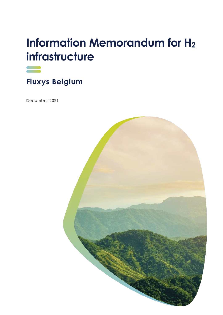# **Information Memorandum for H<sup>2</sup> infrastructure**



**Fluxys Belgium** 

December 2021

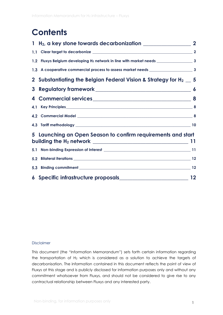## **Contents**

|                                                                                                                                                                                                                                                                                   | $\overline{\mathbf{2}}$ |
|-----------------------------------------------------------------------------------------------------------------------------------------------------------------------------------------------------------------------------------------------------------------------------------|-------------------------|
|                                                                                                                                                                                                                                                                                   |                         |
|                                                                                                                                                                                                                                                                                   |                         |
|                                                                                                                                                                                                                                                                                   |                         |
| 2 Substantiating the Belgian Federal Vision & Strategy for $H_2 = 5$                                                                                                                                                                                                              |                         |
|                                                                                                                                                                                                                                                                                   |                         |
| 4 Commercial services 8                                                                                                                                                                                                                                                           |                         |
|                                                                                                                                                                                                                                                                                   |                         |
|                                                                                                                                                                                                                                                                                   |                         |
|                                                                                                                                                                                                                                                                                   |                         |
| 5 Launching an Open Season to confirm requirements and start                                                                                                                                                                                                                      |                         |
| building the $H_2$ network $\frac{1}{2}$ method is a set of $\frac{1}{2}$ and $\frac{1}{2}$ and $\frac{1}{2}$ and $\frac{1}{2}$ and $\frac{1}{2}$ and $\frac{1}{2}$ and $\frac{1}{2}$ and $\frac{1}{2}$ and $\frac{1}{2}$ and $\frac{1}{2}$ and $\frac{1}{2}$ and $\frac{1}{2}$ a |                         |
|                                                                                                                                                                                                                                                                                   |                         |
|                                                                                                                                                                                                                                                                                   |                         |
|                                                                                                                                                                                                                                                                                   |                         |
|                                                                                                                                                                                                                                                                                   |                         |

#### Disclaimer

This document (the "Information Memorandum") sets forth certain information regarding the transportation of  $H_2$  which is considered as a solution to achieve the targets of decarbonisation. The information contained in this document reflects the point of view of Fluxys at this stage and is publicly disclosed for information purposes only and without any commitment whatsoever from Fluxys, and should not be considered to give rise to any contractual relationship between Fluxys and any interested party.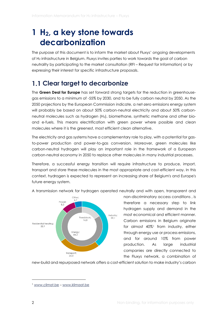## <span id="page-2-0"></span>**1 H2, a key stone towards decarbonization**

The purpose of this document is to inform the market about Fluxys' ongoing developments of H<sup>2</sup> infrastructure in Belgium. Fluxys invites parties to work towards the goal of carbon neutrality by participating to the market consultation (RFI – Request for Information) or by expressing their interest for specific infrastructure proposals.

### <span id="page-2-1"></span>**Clear target to decarbonize**

The **Green Deal for Europe** has set forward strong targets for the reduction in greenhousegas emissions to a minimum of -55% by 2030, and to be fully carbon neutral by 2050. As the 2050 projections by the European Commission indicate, a net-zero emissions energy system will probably be based on about 50% carbon-neutral electricity and about 50% carbonneutral molecules such as hydrogen (H2), biomethane, synthetic methane and other bioand e-fuels. This means electrification with green power where possible and clean molecules where it is the greenest, most efficient clean alternative.

The electricity and gas systems have a complementary role to play, with a potential for gasto-power production and power-to-gas conversion. Moreover, green molecules like carbon-neutral hydrogen will play an important role in the framework of a European carbon-neutral economy in 2050 to replace other molecules in many industrial processes.

Therefore, a successful energy transition will require infrastructure to produce, import, transport and store these molecules in the most appropriate and cost-efficient way. In this context, hydrogen is expected to represent an increasing share of Belgium's and Europe's future energy system.



A transmission network for hydrogen operated neutrally and with open, transparent and

non-discriminatory access conditions , is therefore a necessary step to link hydrogen supply and demand in the most economical and efficient manner. Carbon emissions in Belgium originate for almost 40%<sup>1</sup> from industry, either through energy use or process emissions, and for around 10% from power production. As large industrial companies are directly connected to the Fluxys network, a combination of

new-build and repurposed network offers a cost-efficient solution to make industry's carbon

<sup>1</sup> [www.climat.be](http://www.climat.be/) – [www.klimaat.be](http://www.klimaat.be/)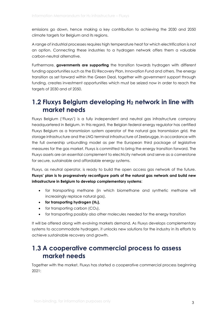emissions go down, hence making a key contribution to achieving the 2030 and 2050 climate targets for Belgium and its regions.

A range of industrial processes requires high temperature heat for which electrification is not an option. Connecting these industries to a hydrogen network offers them a valuable carbon-neutral alternative.

Furthermore, **governments are supporting** the transition towards hydrogen with different funding opportunities such as the EU Recovery Plan, Innovation Fund and others. The energy transition as set forward within the Green Deal, together with government support through funding, creates investment opportunities which must be seized now in order to reach the targets of 2030 and of 2050.

### <span id="page-3-0"></span>**Fluxys Belgium developing H<sup>2</sup> network in line with market needs**

Fluxys Belgium ('Fluxys') is a fully independent and neutral gas infrastructure company headquartered in Belgium. In this regard, the Belgian federal energy regulator has certified Fluxys Belgium as a transmission system operator of the natural gas transmission grid, the storage infrastructure and the LNG terminal infrastructure of Zeebrugge, in accordance with the full ownership unbundling model as per the European third package of legislative measures for the gas market. Fluxys is committed to bring the energy transition forward. The Fluxys assets are an essential complement to electricity network and serve as a cornerstone for secure, sustainable and affordable energy systems.

Fluxys, as neutral operator, is ready to build the open access gas network of the future. **Fluxys' plan is to progressively reconfigure parts of the natural gas network and build new infrastructure in Belgium to develop complementary systems**:

- for transporting methane (in which biomethane and synthetic methane will increasingly replace natural gas),
- **for transporting hydrogen (H2),**
- for transporting carbon  $(CO<sub>2</sub>)$ ,
- for transporting possibly also other molecules needed for the energy transition

It will be offered along with evolving markets demand. As Fluxys develops complementary systems to accommodate hydrogen, it unlocks new solutions for the industry in its efforts to achieve sustainable recovery and growth.

### <span id="page-3-1"></span>**A cooperative commercial process to assess market needs**

Together with the market, Fluxys has started a cooperative commercial process beginning 2021: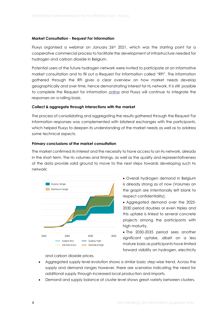#### **Market Consultation - Request For Information**

Fluxys organised a webinar on January  $26<sup>th</sup>$  2021, which was the starting point for a cooperative commercial process to facilitate the development of infrastructure needed for hydrogen and carbon dioxide in Belgium.

Potential users of the future hydrogen network were invited to participate at an informative market consultation and to fill out a Request For Information called "RFI". The information gathered through the RFI gives a clear overview on how market needs develop geographically and over time, hence demonstrating interest for H<sub>2</sub> network. It is still possible to complete the Request for information [online](https://www.fluxys.com/en/energy-transition/hydrogen-carbon-infrastructure/cooperative-commercial-process#rfi) and Fluxys will continue to integrate the responses on a rolling basis.

#### **Collect & aggregate through interactions with the market**

The process of consolidating and aggregating the results gathered through the Request For Information responses was complemented with bilateral exchanges with the participants, which helped Fluxys to deepen its understanding of the market needs as well as to address some technical aspects.

#### **Primary conclusions of the market consultation**

The market confirmed its interest and the necessity to have access to an H<sub>2</sub> network, already in the short term. The H<sub>2</sub> volumes and timings, as well as the quality and representativeness of the data provide solid ground to move to the next steps towards developing such  $H_2$ network:



- Overall hydrogen demand in Belgium is already strong as of now (Volumes on the graph are intentionally left blank to respect confidentiality).
- Aggregated demand over the 2025- 2030 period doubles or even triples and this uptake is linked to several concrete projects among the participants with high maturity.

• The 2030-2035 period sees another significant uptake, albeit on a less mature basis as participants have limited forward visibility on hydrogen, electricity

and carbon dioxide prices.

- Aggregated supply level evolution shows a similar basic step-wise trend. Across the supply and demand ranges however, there are scenarios indicating the need for additional supply through increased local production and imports.
- Demand and supply balance at cluster level shows great variety between clusters.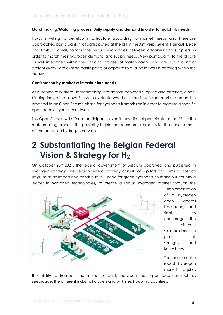#### **Matchmaking/Matching process: Unify supply and demand in order to match H<sup>2</sup> needs**

Fluxys is willing to develop infrastructure according to market needs and therefore approached participants that participated at the RFI, in the Antwerp, Ghent, Hainaut, Liège and Limburg areas, to facilitate mutual exchanges between off-takers and suppliers in order to match their hydrogen demand and supply needs. New participants to the RFI are as well integrated within the ongoing process of matchmaking and are put in contact straight away with existing participants of opposite role (supplier versus offtaker) within the cluster.

#### **Confirmation by market of infrastructure needs**

As outcome of bilateral matchmaking interactions between suppliers and offtakers, a nonbinding indication allows Fluxys to evaluate whether there is sufficient market demand to proceed to an Open Season phase for hydrogen transmission in order to propose a specific open access hydrogen network.

This Open Season will offer all participants, even if they did not participate at the RFI or the matchmaking process, the possibility to join the commercial process for the development of the proposed hydrogen network.

## <span id="page-5-0"></span>**2 Substantiating the Belgian Federal Vision & Strategy for H<sup>2</sup>**

On October 28<sup>th</sup> 2021, the federal government of Belgium approved and published its hydrogen strategy. The Belgian federal strategy consists of 4 pillars and aims to position Belgium as an import and transit hub in Europe for green hydrogen, to make our country a leader in hydrogen technologies, to create a robust hydrogen market through the



implementation of a hydrogen open access backbone, and finally to encourage the different stakeholders to pool their strengths and know-how.

The creation of a robust hydrogen market requires

the ability to transport the molecules easily between the import locations such as Zeebrugge, the different industrial clusters and with neighbouring countries.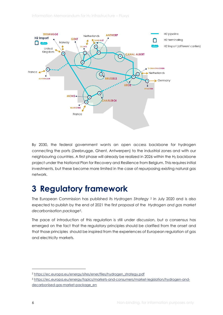

By 2030, the federal government wants an open access backbone for hydrogen connecting the ports (Zeebrugge, Ghent, Antwerpen) to the industrial zones and with our neighbouring countries. A first phase will already be realized in 2026 within the  $H_2$  backbone project under the National Plan for Recovery and Resilience from Belgium. This requires initial investments, but these become more limited in the case of repurposing existing natural gas network.

## <span id="page-6-0"></span>**3 Regulatory framework**

The European Commission has published its *Hydrogen Strategy* <sup>2</sup> in July 2020 and is also expected to publish by the end of 2021 the first proposal of the *Hydrogen and gas market decarbonisation package3*.

The pace of introduction of this regulation is still under discussion, but a consensus has emerged on the fact that the regulatory principles should be clarified from the onset and that those principles should be inspired from the experiences of European regulation of gas and electricity markets.

<sup>2</sup> [https://ec.europa.eu/energy/sites/ener/files/hydrogen\\_strategy.pdf](https://ec.europa.eu/energy/sites/ener/files/hydrogen_strategy.pdf)

<sup>3</sup> [https://ec.europa.eu/energy/topics/markets-and-consumers/market-legislation/hydrogen-and](https://ec.europa.eu/energy/topics/markets-and-consumers/market-legislation/hydrogen-and-decarbonised-gas-market-package_en)[decarbonised-gas-market-package\\_en](https://ec.europa.eu/energy/topics/markets-and-consumers/market-legislation/hydrogen-and-decarbonised-gas-market-package_en)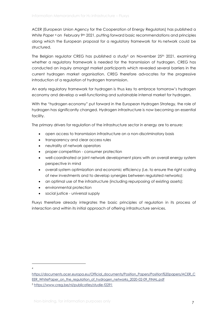ACER (European Union Agency for the Cooperation of Energy Regulators) has published a *White Paper* <sup>4</sup> on February 9th 2021, putting forward basic recommendations and principles along which the European proposal for a regulatory framework for H<sup>2</sup> network could be structured.

The Belgian regulator CREG has published a study<sup>5</sup> on November 25<sup>th</sup> 2021, examining whether a regulatory framework is needed for the transmission of hydrogen. CREG has conducted an inquiry amongst market participants which revealed several barriers in the current hydrogen market organisation. CREG therefore advocates for the progressive introduction of a regulation of hydrogen transmission.

An early regulatory framework for hydrogen is thus key to embrace tomorrow's hydrogen economy and develop a well-functioning and sustainable internal market for hydrogen.

With the "hydrogen economy" put forward in the European Hydrogen Strategy, the role of hydrogen has significantly changed. Hydrogen infrastructure is now becoming an essential facility.

The primary drivers for regulation of the infrastructure sector in energy are to ensure:

- open access to transmission infrastructure on a non-discriminatory basis
- transparency and clear access rules
- neutrality of network operators
- proper competition consumer protection
- well-coordinated or joint network development plans with an overall energy system perspective in mind
- overall system optimization and economic efficiency (i.e. to ensure the right scaling of new investments and to develop synergies between regulated networks);
- an optimal use of the infrastructure (including repurposing of existing assets);
- environmental protection
- social justice universal supply

Fluxys therefore already integrates the basic principles of regulation in its process of interaction and within its initial approach of offering infrastructure services.

4

[https://documents.acer.europa.eu/Official\\_documents/Position\\_Papers/Position%20papers/ACER\\_C](https://documents.acer.europa.eu/Official_documents/Position_Papers/Position%20papers/ACER_CEER_WhitePaper_on_the_regulation_of_hydrogen_networks_2020-02-09_FINAL.pdf) [EER\\_WhitePaper\\_on\\_the\\_regulation\\_of\\_hydrogen\\_networks\\_2020-02-09\\_FINAL.pdf](https://documents.acer.europa.eu/Official_documents/Position_Papers/Position%20papers/ACER_CEER_WhitePaper_on_the_regulation_of_hydrogen_networks_2020-02-09_FINAL.pdf) <sup>5</sup> <https://www.creg.be/nl/publicaties/studie-f2291>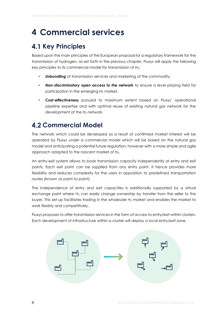## <span id="page-8-0"></span>**4 Commercial services**

## <span id="page-8-1"></span>**4.1 Key Principles**

Based upon the main principles of the European proposal for a regulatory framework for the transmission of hydrogen, as set forth in the previous chapter, Fluxys will apply the following key principles to its commercial model for transmission of H2:

- *Unbundling* of transmission services and marketing of the commodity,
- *Non-discriminatory open access to the network* to ensure a level playing field for participation in the emerging H<sup>2</sup> market,
- *Cost-effectiveness* pursued to maximum extent based on Fluxys' operational pipeline expertise and with optimal reuse of existing natural gas network for the development of the H<sub>2</sub> network.

### <span id="page-8-2"></span>**4.2 Commercial Model**

The network which could be developed as a result of confirmed market interest will be operated by Fluxys under a commercial model which will be based on the natural gas model and anticipating a potential future regulation, however with a more simple and agile approach adapted to the nascent market of H2.

An entry-exit system allows to book transmission capacity independently at entry and exit points. Each exit point can be supplied from any entry point. It hence provides more flexibility and reduces complexity for the users in opposition to predefined transportation routes (known as point-to-point).

The independence of entry and exit capacities is additionally supported by a virtual exchange point where  $H_2$  can easily change ownership by transfer from the seller to the buyer. This set-up facilitates trading in the wholesale H<sup>2</sup> market and enables the market to work flexibly and competitively.

Fluxys proposes to offer transmission services in the form of access to entry/exit within clusters. Each development of infrastructure within a cluster will deploy a local entry/exit zone.

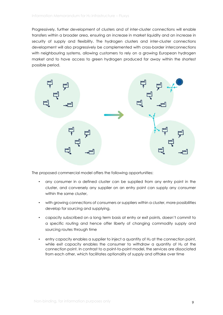Progressively, further development of clusters and of inter-cluster connections will enable transfers within a broader area, ensuring an increase in market liquidity and an increase in security of supply and flexibility. The hydrogen clusters and inter-cluster connections development will also progressively be complemented with cross-border interconnections with neighbouring systems, allowing customers to rely on a growing European hydrogen market and to have access to green hydrogen produced far away within the shortest possible period.



The proposed commercial model offers the following opportunities:

- any consumer in a defined cluster can be supplied from any entry point in the cluster, and conversely any supplier on an entry point can supply any consumer within the same cluster.
- with growing connections of consumers or suppliers within a cluster, more possibilities develop for sourcing and supplying,
- capacity subscribed on a long term basis at entry or exit points, doesn't commit to a specific routing and hence offer liberty of changing commodity supply and sourcing routes through time
- entry capacity enables a supplier to inject a quantity of  $H_2$  at the connection point, while exit capacity enables the consumer to withdraw a quantity of  $H_2$  at the connection point. In contrast to a point-to-point model, the services are dissociated from each other, which facilitates optionality of supply and offtake over time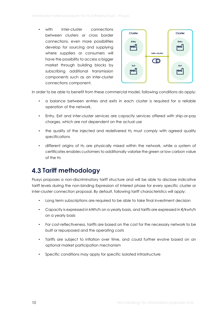with inter-cluster connections between clusters or cross border connections, even more possibilities develop for sourcing and supplying where suppliers or consumers will have the possibility to access a bigger market through building blocks by subscribing additional transmission components such as an inter-cluster connections component.



In order to be able to benefit from these commercial model, following conditions do apply:

- a balance between entries and exits in each cluster is required for a reliable operation of the network,
- Entry, Exit and inter-cluster services are capacity services offered with ship-or-pay charges, which are not dependent on the actual use
- the quality of the injected and redelivered  $H_2$  must comply with agreed quality specifications
- different origins of H<sub>2</sub> are physically mixed within the network, while a system of certificates enables customers to additionally valorise the green or low carbon value of the H<sub>2</sub>

## <span id="page-10-0"></span>**4.3 Tariff methodology**

Fluxys proposes a non-discriminatory tariff structure and will be able to disclose indicative tariff levels during the non-binding Expression of Interest phase for every specific cluster or inter-cluster connection proposal. By default, following tariff characteristics will apply:

- Long term subscriptions are required to be able to take final investment decision
- Capacity is expressed in kWh/h on a yearly basis, and tariffs are expressed in €/kwh/h on a yearly basis
- For cost-reflectiveness, tariffs are based on the cost for the necessary network to be built or repurposed and the operating costs
- Tariffs are subject to inflation over time, and could further evolve based on an optional market participation mechanism
- Specific conditions may apply for specific isolated infrastructure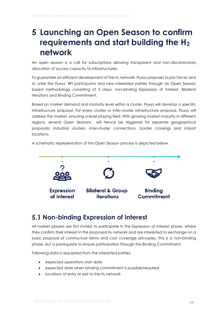## <span id="page-11-0"></span>**5 Launching an Open Season to confirm requirements and start building the H<sup>2</sup> network**

An open season is a call for subscriptions allowing transparent and non-discriminatory allocation of access capacity to infrastructures.

To guarantee an efficient development of the H<sup>2</sup> network, Fluxys proposes to join forces and to unite the Fluxys' RFI participants and new interested parties through an Open Season based methodology consisting of 3 steps: non-binding Expression of Interest, Bilateral Iterations and Binding Commitment.

Based on market demand and maturity level within a cluster, Fluxys will develop a specific infrastructure proposal. For every cluster or inter-cluster infrastructure proposal, Fluxys will address the market, ensuring a level playing field. With growing market maturity in different regions, several Open Seasons will hence be triggered for separate geographical proposals: industrial clusters, inter-cluster connections, border crossings and import locations.

A schematic representation of this Open Season process is depicted below.



#### <span id="page-11-1"></span>**Non-binding Expression of Interest**

All market players are first invited to participate in the Expression of Interest phase, where they confirm their interest in the proposed H<sup>2</sup> network and are interested to exchange on a basic proposal of contractual terms and cost coverage principles. This is a non-binding phase, but a prerequisite to ensure participation through the Binding Commitment.

Following data is requested from the interested parties:

- expected operations start date
- expected date when binding commitment is possible/required
- $\bullet$  locations of entry or exit to the H<sub>2</sub> network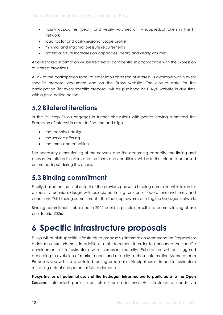- hourly capacities (peak) and yearly volumes of  $H_2$  supplied/offtaken in the  $H_2$ network
- load factor and daily/seasonal usage profile
- minimal and maximal pressure requirements
- potential future increases on capacities (peak) and yearly volumes

Above shared information will be treated as confidential in accordance with the Expression of Interest provisions.

A link to the participation form, to enter into Expression of Interest, is available within every specific proposal document and on the Fluxys website. The closure date for the participation (for every specific proposal) will be published on Fluxys' website in due time with a prior notice period.

### <span id="page-12-0"></span>**Bilateral iterations**

In the 2<sup>nd</sup> step Fluxys engages in further discussions with parties having submitted the Expression of Interest in order to finetune and align

- the technical design
- the service offering
- the terms and conditions

The necessary dimensioning of the network and the according capacity, the timing and phases, the offered services and the terms and conditions will be further elaborated based on mutual input during this phase.

### <span id="page-12-1"></span>**Binding commitment**

Finally, based on the final output of the previous phase, a binding commitment is taken for a specific technical design with associated timing for start of operations and terms and conditions. This binding commitment is the final step towards building the hydrogen network.

Binding commitments obtained in 2022 could in principle result in a commissioning phase prior to mid-2026.

## <span id="page-12-2"></span>**6 Specific infrastructure proposals**

Fluxys will publish specific infrastructure proposals ("Information Memorandum Proposal for H<sup>2</sup> infrastructure: *Name*") in addition to this document in order to announce the specific development of infrastructure with increased maturity. Publication will be triggered according to evolution of market needs and maturity. In those Information Memorandum Proposals you will find a detailed routing proposal of H<sub>2</sub> pipelines or import infrastructure reflecting actual and potential future demand.

**Fluxys invites all potential users of the hydrogen infrastructure to participate to the Open Seasons.** Interested parties can also share additional H<sub>2</sub> infrastructure needs via